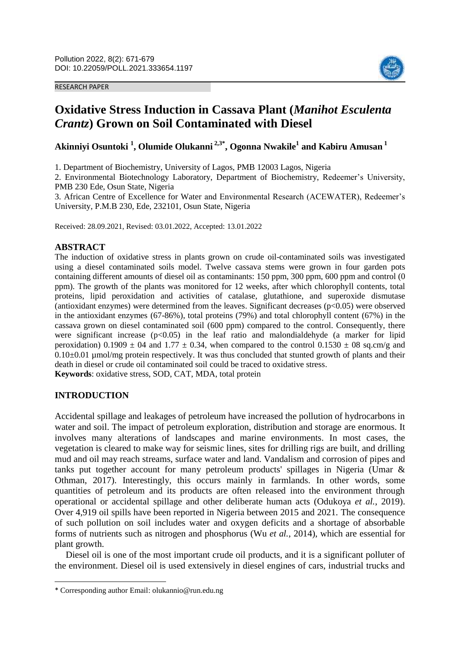#### RESEARCH PAPER



# **Oxidative Stress Induction in Cassava Plant (***Manihot Esculenta Crantz***) Grown on Soil Contaminated with Diesel**

**Akinniyi Osuntoki <sup>1</sup> , Olumide Olukanni 2,3\* , Ogonna Nwakile<sup>1</sup> and Kabiru Amusan <sup>1</sup>**

1. Department of Biochemistry, University of Lagos, PMB 12003 Lagos, Nigeria

2. Environmental Biotechnology Laboratory, Department of Biochemistry, Redeemer's University, PMB 230 Ede, Osun State, Nigeria

3. African Centre of Excellence for Water and Environmental Research (ACEWATER), Redeemer's University, P.M.B 230, Ede, 232101, Osun State, Nigeria

Received: 28.09.2021, Revised: 03.01.2022, Accepted: 13.01.2022

## **ABSTRACT**

The induction of oxidative stress in plants grown on crude oil-contaminated soils was investigated using a diesel contaminated soils model. Twelve cassava stems were grown in four garden pots containing different amounts of diesel oil as contaminants: 150 ppm, 300 ppm, 600 ppm and control (0 ppm). The growth of the plants was monitored for 12 weeks, after which chlorophyll contents, total proteins, lipid peroxidation and activities of catalase, glutathione, and superoxide dismutase (antioxidant enzymes) were determined from the leaves. Significant decreases (p<0.05) were observed in the antioxidant enzymes (67-86%), total proteins (79%) and total chlorophyll content (67%) in the cassava grown on diesel contaminated soil (600 ppm) compared to the control. Consequently, there were significant increase  $(p<0.05)$  in the leaf ratio and malondialdehyde (a marker for lipid peroxidation)  $0.1909 \pm 04$  and  $1.77 \pm 0.34$ , when compared to the control  $0.1530 \pm 08$  sq.cm/g and  $0.10\pm0.01$  µmol/mg protein respectively. It was thus concluded that stunted growth of plants and their death in diesel or crude oil contaminated soil could be traced to oxidative stress. **Keywords**: oxidative stress, SOD, CAT, MDA, total protein

## **INTRODUCTION**

 $\overline{\phantom{a}}$ 

Accidental spillage and leakages of petroleum have increased the pollution of hydrocarbons in water and soil. The impact of petroleum exploration, distribution and storage are enormous. It involves many alterations of landscapes and marine environments. In most cases, the vegetation is cleared to make way for seismic lines, sites for drilling rigs are built, and drilling mud and oil may reach streams, surface water and land. Vandalism and corrosion of pipes and tanks put together account for many petroleum products' spillages in Nigeria (Umar & Othman, 2017). Interestingly, this occurs mainly in farmlands. In other words, some quantities of petroleum and its products are often released into the environment through operational or accidental spillage and other deliberate human acts (Odukoya *et al.*, 2019). Over 4,919 oil spills have been reported in Nigeria between 2015 and 2021. The consequence of such pollution on soil includes water and oxygen deficits and a shortage of absorbable forms of nutrients such as nitrogen and phosphorus (Wu *et al.*, 2014), which are essential for plant growth.

Diesel oil is one of the most important crude oil products, and it is a significant polluter of the environment. Diesel oil is used extensively in diesel engines of cars, industrial trucks and

<sup>\*</sup> Corresponding author Email: olukannio@run.edu.ng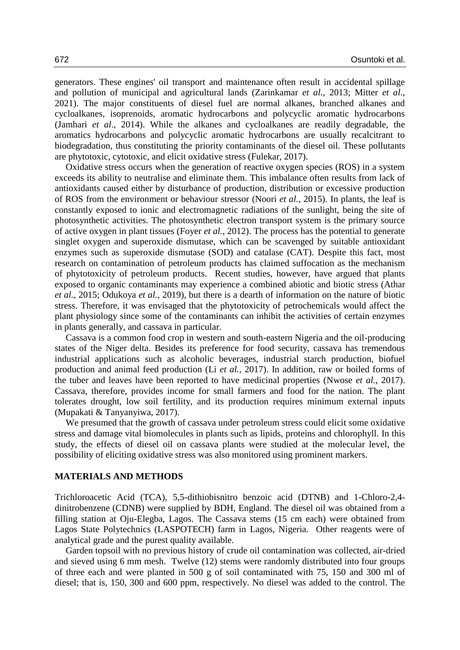generators. These engines' oil transport and maintenance often result in accidental spillage and pollution of municipal and agricultural lands (Zarinkamar *et al.*, 2013; Mitter *et al*., 2021). The major constituents of diesel fuel are normal alkanes, branched alkanes and cycloalkanes, isoprenoids, aromatic hydrocarbons and polycyclic aromatic hydrocarbons (Jamhari *et al*., 2014). While the alkanes and cycloalkanes are readily degradable, the aromatics hydrocarbons and polycyclic aromatic hydrocarbons are usually recalcitrant to biodegradation, thus constituting the priority contaminants of the diesel oil. These pollutants are phytotoxic, cytotoxic, and elicit oxidative stress (Fulekar, 2017).

Oxidative stress occurs when the generation of reactive oxygen species (ROS) in a system exceeds its ability to neutralise and eliminate them. This imbalance often results from lack of antioxidants caused either by disturbance of production, distribution or excessive production of ROS from the environment or behaviour stressor (Noori *et al.*, 2015). In plants, the leaf is constantly exposed to ionic and electromagnetic radiations of the sunlight, being the site of photosynthetic activities. The photosynthetic electron transport system is the primary source of active oxygen in plant tissues (Foyer *et al.*, 2012). The process has the potential to generate singlet oxygen and superoxide dismutase, which can be scavenged by suitable antioxidant enzymes such as superoxide dismutase (SOD) and catalase (CAT). Despite this fact, most research on contamination of petroleum products has claimed suffocation as the mechanism of phytotoxicity of petroleum products. Recent studies, however, have argued that plants exposed to organic contaminants may experience a combined abiotic and biotic stress (Athar *et al.*, 2015; Odukoya *et al.*, 2019), but there is a dearth of information on the nature of biotic stress. Therefore, it was envisaged that the phytotoxicity of petrochemicals would affect the plant physiology since some of the contaminants can inhibit the activities of certain enzymes in plants generally, and cassava in particular.

Cassava is a common food crop in western and south-eastern Nigeria and the oil-producing states of the Niger delta. Besides its preference for food security, cassava has tremendous industrial applications such as alcoholic beverages, industrial starch production, biofuel production and animal feed production (Li *et al.*, 2017). In addition, raw or boiled forms of the tuber and leaves have been reported to have medicinal properties (Nwose *et al.*, 2017). Cassava, therefore, provides income for small farmers and food for the nation. The plant tolerates drought, low soil fertility, and its production requires minimum external inputs (Mupakati & Tanyanyiwa, 2017).

We presumed that the growth of cassava under petroleum stress could elicit some oxidative stress and damage vital biomolecules in plants such as lipids, proteins and chlorophyll. In this study, the effects of diesel oil on cassava plants were studied at the molecular level, the possibility of eliciting oxidative stress was also monitored using prominent markers.

#### **MATERIALS AND METHODS**

Trichloroacetic Acid (TCA), 5,5-dithiobisnitro benzoic acid (DTNB) and 1-Chloro-2,4 dinitrobenzene (CDNB) were supplied by BDH, England. The diesel oil was obtained from a filling station at Oju-Elegba, Lagos. The Cassava stems (15 cm each) were obtained from Lagos State Polytechnics (LASPOTECH) farm in Lagos, Nigeria. Other reagents were of analytical grade and the purest quality available.

Garden topsoil with no previous history of crude oil contamination was collected, air-dried and sieved using 6 mm mesh. Twelve (12) stems were randomly distributed into four groups of three each and were planted in 500 g of soil contaminated with 75, 150 and 300 ml of diesel; that is, 150, 300 and 600 ppm, respectively. No diesel was added to the control. The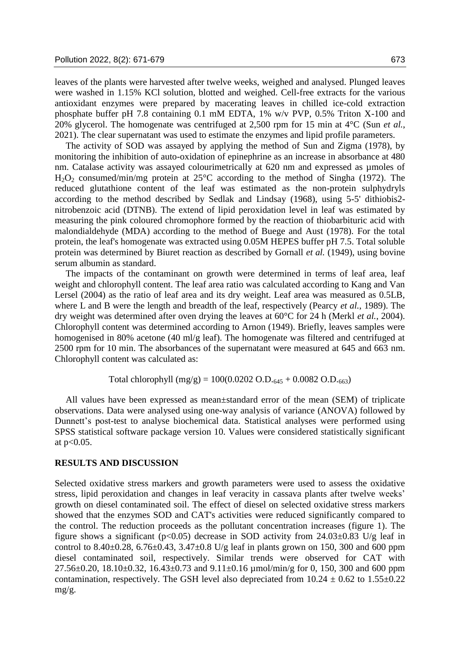leaves of the plants were harvested after twelve weeks, weighed and analysed. Plunged leaves were washed in 1.15% KCl solution, blotted and weighed. Cell-free extracts for the various antioxidant enzymes were prepared by macerating leaves in chilled ice-cold extraction phosphate buffer pH 7.8 containing 0.1 mM EDTA, 1% w/v PVP, 0.5% Triton X-100 and 20% glycerol. The homogenate was centrifuged at 2,500 rpm for 15 min at 4°C (Sun *et al.*, 2021). The clear supernatant was used to estimate the enzymes and lipid profile parameters.

The activity of SOD was assayed by applying the method of Sun and Zigma (1978), by monitoring the inhibition of auto-oxidation of epinephrine as an increase in absorbance at 480 nm. Catalase activity was assayed colourimetrically at 620 nm and expressed as umoles of H2O<sup>2</sup> consumed/min/mg protein at 25°C according to the method of Singha (1972). The reduced glutathione content of the leaf was estimated as the non-protein sulphydryls according to the method described by Sedlak and Lindsay (1968), using 5-5' dithiobis2 nitrobenzoic acid (DTNB). The extend of lipid peroxidation level in leaf was estimated by measuring the pink coloured chromophore formed by the reaction of thiobarbituric acid with malondialdehyde (MDA) according to the method of Buege and Aust (1978). For the total protein, the leaf's homogenate was extracted using 0.05M HEPES buffer pH 7.5. Total soluble protein was determined by Biuret reaction as described by Gornall *et al.* (1949), using bovine serum albumin as standard.

The impacts of the contaminant on growth were determined in terms of leaf area, leaf weight and chlorophyll content. The leaf area ratio was calculated according to Kang and Van Lersel (2004) as the ratio of leaf area and its dry weight. Leaf area was measured as 0.5LB, where L and B were the length and breadth of the leaf, respectively (Pearcy *et al.*, 1989). The dry weight was determined after oven drying the leaves at 60°C for 24 h (Merkl *et al.*, 2004). Chlorophyll content was determined according to Arnon (1949). Briefly, leaves samples were homogenised in 80% acetone (40 ml/g leaf). The homogenate was filtered and centrifuged at 2500 rpm for 10 min. The absorbances of the supernatant were measured at 645 and 663 nm. Chlorophyll content was calculated as:

Total chlorophyll (mg/g) =  $100(0.0202 \text{ O.D.}_{645} + 0.0082 \text{ O.D.}_{663})$ 

All values have been expressed as mean±standard error of the mean (SEM) of triplicate observations. Data were analysed using one-way analysis of variance (ANOVA) followed by Dunnett's post-test to analyse biochemical data. Statistical analyses were performed using SPSS statistical software package version 10. Values were considered statistically significant at p<0.05.

# **RESULTS AND DISCUSSION**

Selected oxidative stress markers and growth parameters were used to assess the oxidative stress, lipid peroxidation and changes in leaf veracity in cassava plants after twelve weeks' growth on diesel contaminated soil. The effect of diesel on selected oxidative stress markers showed that the enzymes SOD and CAT's activities were reduced significantly compared to the control. The reduction proceeds as the pollutant concentration increases (figure 1). The figure shows a significant ( $p<0.05$ ) decrease in SOD activity from 24.03 $\pm$ 0.83 U/g leaf in control to 8.40 $\pm$ 0.28, 6.76 $\pm$ 0.43, 3.47 $\pm$ 0.8 U/g leaf in plants grown on 150, 300 and 600 ppm diesel contaminated soil, respectively. Similar trends were observed for CAT with 27.56 $\pm$ 0.20, 18.10 $\pm$ 0.32, 16.43 $\pm$ 0.73 and 9.11 $\pm$ 0.16  $\mu$ mol/min/g for 0, 150, 300 and 600 ppm contamination, respectively. The GSH level also depreciated from  $10.24 \pm 0.62$  to  $1.55 \pm 0.22$ mg/g.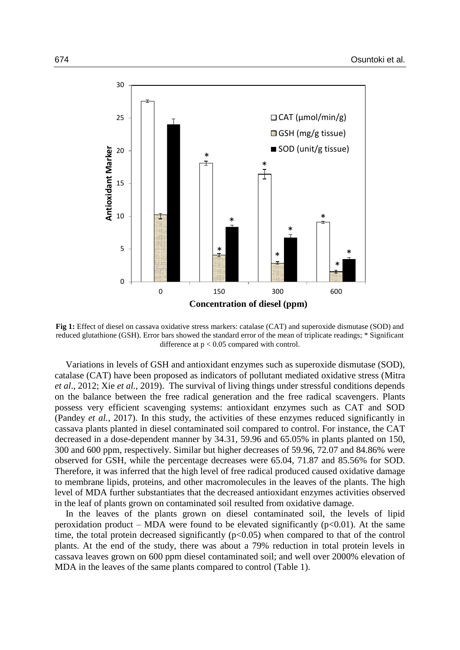

**Fig 1:** Effect of diesel on cassava oxidative stress markers: catalase (CAT) and superoxide dismutase (SOD) and reduced glutathione (GSH). Error bars showed the standard error of the mean of triplicate readings; \* Significant difference at  $p < 0.05$  compared with control.

Variations in levels of GSH and antioxidant enzymes such as superoxide dismutase (SOD), catalase (CAT) have been proposed as indicators of pollutant mediated oxidative stress (Mitra *et al*., 2012; Xie *et al.*, 2019). The survival of living things under stressful conditions depends on the balance between the free radical generation and the free radical scavengers. Plants possess very efficient scavenging systems: antioxidant enzymes such as CAT and SOD (Pandey *et al.*, 2017). In this study, the activities of these enzymes reduced significantly in cassava plants planted in diesel contaminated soil compared to control. For instance, the CAT decreased in a dose-dependent manner by 34.31, 59.96 and 65.05% in plants planted on 150, 300 and 600 ppm, respectively. Similar but higher decreases of 59.96, 72.07 and 84.86% were observed for GSH, while the percentage decreases were 65.04, 71.87 and 85.56% for SOD. Therefore, it was inferred that the high level of free radical produced caused oxidative damage to membrane lipids, proteins, and other macromolecules in the leaves of the plants. The high level of MDA further substantiates that the decreased antioxidant enzymes activities observed in the leaf of plants grown on contaminated soil resulted from oxidative damage.

In the leaves of the plants grown on diesel contaminated soil, the levels of lipid peroxidation product – MDA were found to be elevated significantly ( $p<0.01$ ). At the same time, the total protein decreased significantly  $(p<0.05)$  when compared to that of the control plants. At the end of the study, there was about a 79% reduction in total protein levels in cassava leaves grown on 600 ppm diesel contaminated soil; and well over 2000% elevation of MDA in the leaves of the same plants compared to control (Table 1).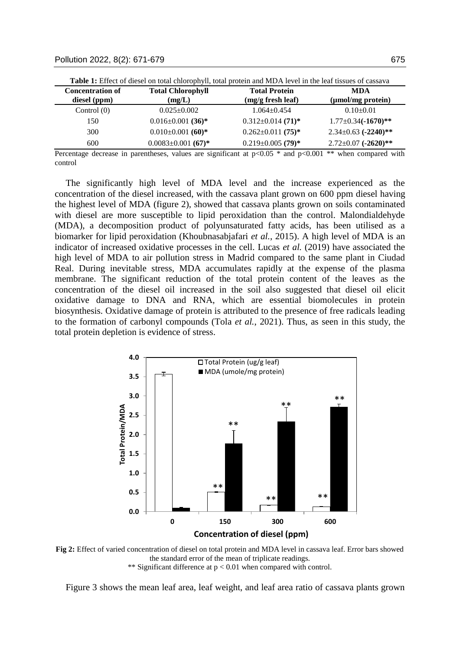| <b>Concentration of</b><br>diesel (ppm) | <b>Total Chlorophyll</b><br>(mg/L)   | <b>Total Protein</b><br>(mg/g fresh leaf) | <b>MDA</b><br>(µmol/mg protein) |
|-----------------------------------------|--------------------------------------|-------------------------------------------|---------------------------------|
| Control $(0)$                           | $0.025 \pm 0.002$                    | $1.064 \pm 0.454$                         | $0.10+0.01$                     |
| 150                                     | $0.016 \pm 0.001$ (36)*              | $0.312 \pm 0.014$ (71) <sup>*</sup>       | $1.77 \pm 0.34 (-1670)$ **      |
| 300                                     | $0.010\pm0.001$ (60)*                | $0.262 \pm 0.011$ (75) <sup>*</sup>       | $2.34 \pm 0.63$ (-2240)**       |
| 600                                     | $0.0083 \pm 0.001$ (67) <sup>*</sup> | $0.219 \pm 0.005$ (79) <sup>*</sup>       | $2.72 \pm 0.07$ (-2620)**       |

**Table 1:** Effect of diesel on total chlorophyll, total protein and MDA level in the leaf tissues of cassava

Percentage decrease in parentheses, values are significant at  $p<0.05$  \* and  $p<0.001$  \*\* when compared with control

The significantly high level of MDA level and the increase experienced as the concentration of the diesel increased, with the cassava plant grown on 600 ppm diesel having the highest level of MDA (figure 2), showed that cassava plants grown on soils contaminated with diesel are more susceptible to lipid peroxidation than the control. Malondialdehyde (MDA), a decomposition product of polyunsaturated fatty acids, has been utilised as a biomarker for lipid peroxidation (Khoubnasabjafari *et al.*, 2015). A high level of MDA is an indicator of increased oxidative processes in the cell. Lucas *et al.* (2019) have associated the high level of MDA to air pollution stress in Madrid compared to the same plant in Ciudad Real. During inevitable stress, MDA accumulates rapidly at the expense of the plasma membrane. The significant reduction of the total protein content of the leaves as the concentration of the diesel oil increased in the soil also suggested that diesel oil elicit oxidative damage to DNA and RNA, which are essential biomolecules in protein biosynthesis. Oxidative damage of protein is attributed to the presence of free radicals leading to the formation of carbonyl compounds (Tola *et al.*, 2021). Thus, as seen in this study, the total protein depletion is evidence of stress.



**Fig 2:** Effect of varied concentration of diesel on total protein and MDA level in cassava leaf. Error bars showed the standard error of the mean of triplicate readings. \*\* Significant difference at  $p < 0.01$  when compared with control.

Figure 3 shows the mean leaf area, leaf weight, and leaf area ratio of cassava plants grown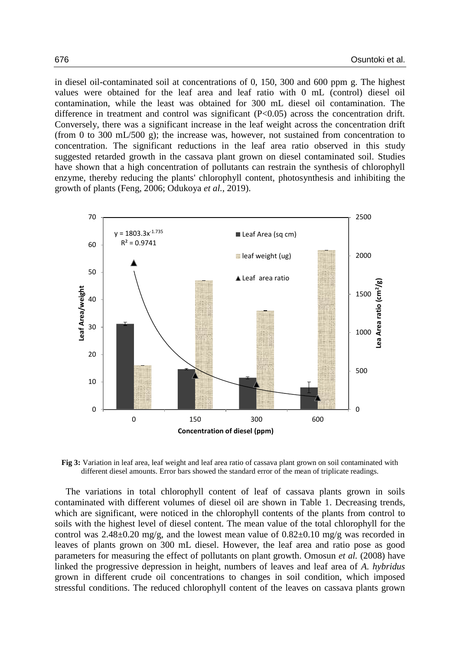in diesel oil-contaminated soil at concentrations of 0, 150, 300 and 600 ppm g. The highest values were obtained for the leaf area and leaf ratio with 0 mL (control) diesel oil contamination, while the least was obtained for 300 mL diesel oil contamination. The difference in treatment and control was significant (P<0.05) across the concentration drift. Conversely, there was a significant increase in the leaf weight across the concentration drift (from 0 to 300 mL/500 g); the increase was, however, not sustained from concentration to concentration. The significant reductions in the leaf area ratio observed in this study suggested retarded growth in the cassava plant grown on diesel contaminated soil. Studies have shown that a high concentration of pollutants can restrain the synthesis of chlorophyll enzyme, thereby reducing the plants' chlorophyll content, photosynthesis and inhibiting the growth of plants (Feng, 2006; Odukoya *et al.*, 2019).



**Fig 3:** Variation in leaf area, leaf weight and leaf area ratio of cassava plant grown on soil contaminated with different diesel amounts. Error bars showed the standard error of the mean of triplicate readings.

The variations in total chlorophyll content of leaf of cassava plants grown in soils contaminated with different volumes of diesel oil are shown in Table 1. Decreasing trends, which are significant, were noticed in the chlorophyll contents of the plants from control to soils with the highest level of diesel content. The mean value of the total chlorophyll for the control was  $2.48\pm0.20$  mg/g, and the lowest mean value of  $0.82\pm0.10$  mg/g was recorded in leaves of plants grown on 300 mL diesel. However, the leaf area and ratio pose as good parameters for measuring the effect of pollutants on plant growth. Omosun *et al.* (2008) have linked the progressive depression in height, numbers of leaves and leaf area of *A. hybridus* grown in different crude oil concentrations to changes in soil condition, which imposed stressful conditions. The reduced chlorophyll content of the leaves on cassava plants grown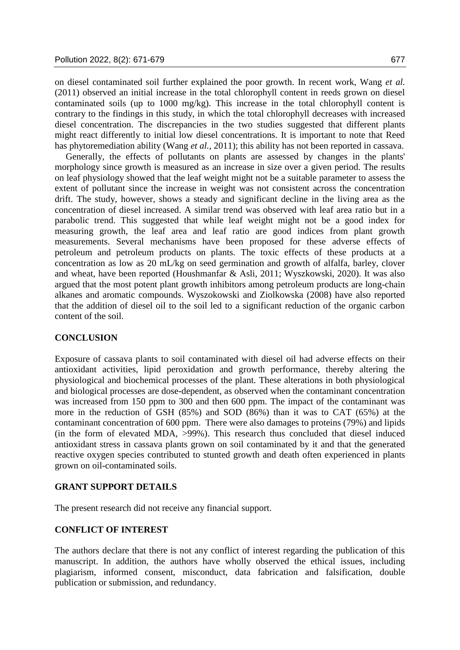on diesel contaminated soil further explained the poor growth. In recent work, Wang *et al.* (2011) observed an initial increase in the total chlorophyll content in reeds grown on diesel contaminated soils (up to 1000 mg/kg). This increase in the total chlorophyll content is contrary to the findings in this study, in which the total chlorophyll decreases with increased diesel concentration. The discrepancies in the two studies suggested that different plants might react differently to initial low diesel concentrations. It is important to note that Reed has phytoremediation ability (Wang *et al.*, 2011); this ability has not been reported in cassava.

Generally, the effects of pollutants on plants are assessed by changes in the plants' morphology since growth is measured as an increase in size over a given period. The results on leaf physiology showed that the leaf weight might not be a suitable parameter to assess the extent of pollutant since the increase in weight was not consistent across the concentration drift. The study, however, shows a steady and significant decline in the living area as the concentration of diesel increased. A similar trend was observed with leaf area ratio but in a parabolic trend. This suggested that while leaf weight might not be a good index for measuring growth, the leaf area and leaf ratio are good indices from plant growth measurements. Several mechanisms have been proposed for these adverse effects of petroleum and petroleum products on plants. The toxic effects of these products at a concentration as low as 20 mL/kg on seed germination and growth of alfalfa, barley, clover and wheat, have been reported (Houshmanfar & Asli, 2011; Wyszkowski, 2020). It was also argued that the most potent plant growth inhibitors among petroleum products are long-chain alkanes and aromatic compounds. Wyszokowski and Ziolkowska (2008) have also reported that the addition of diesel oil to the soil led to a significant reduction of the organic carbon content of the soil.

## **CONCLUSION**

Exposure of cassava plants to soil contaminated with diesel oil had adverse effects on their antioxidant activities, lipid peroxidation and growth performance, thereby altering the physiological and biochemical processes of the plant. These alterations in both physiological and biological processes are dose-dependent, as observed when the contaminant concentration was increased from 150 ppm to 300 and then 600 ppm. The impact of the contaminant was more in the reduction of GSH (85%) and SOD (86%) than it was to CAT (65%) at the contaminant concentration of 600 ppm. There were also damages to proteins (79%) and lipids (in the form of elevated MDA, >99%). This research thus concluded that diesel induced antioxidant stress in cassava plants grown on soil contaminated by it and that the generated reactive oxygen species contributed to stunted growth and death often experienced in plants grown on oil-contaminated soils.

# **GRANT SUPPORT DETAILS**

The present research did not receive any financial support.

## **CONFLICT OF INTEREST**

The authors declare that there is not any conflict of interest regarding the publication of this manuscript. In addition, the authors have wholly observed the ethical issues, including plagiarism, informed consent, misconduct, data fabrication and falsification, double publication or submission, and redundancy.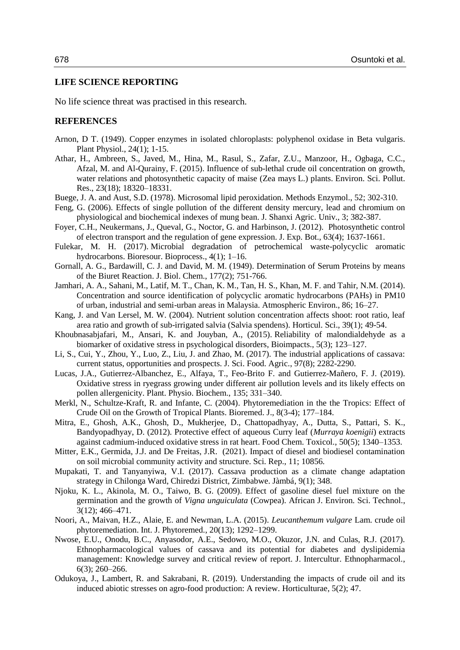### **LIFE SCIENCE REPORTING**

No life science threat was practised in this research.

#### **REFERENCES**

- Arnon, D T. (1949). Copper enzymes in isolated chloroplasts: polyphenol oxidase in Beta vulgaris. Plant Physiol., 24(1); 1-15.
- Athar, H., Ambreen, S., Javed, M., Hina, M., Rasul, S., Zafar, Z.U., Manzoor, H., Ogbaga, C.C., Afzal, M. and Al-Qurainy, F. (2015). Influence of sub-lethal crude oil concentration on growth, water relations and photosynthetic capacity of maise (Zea mays L.) plants. Environ. Sci. Pollut. Res., 23(18); 18320–18331.
- Buege, J. A. and Aust, S.D. (1978). Microsomal lipid peroxidation. Methods Enzymol., 52; 302-310.
- Feng, G. (2006). Effects of single pollution of the different density mercury, lead and chromium on physiological and biochemical indexes of mung bean. J. Shanxi Agric. Univ., 3; 382-387.
- Foyer, C.H., Neukermans, J., Queval, G., Noctor, G. and Harbinson, J. (2012). Photosynthetic control of electron transport and the regulation of gene expression. J. Exp. Bot., 63(4); 1637-1661.
- Fulekar, M. H. (2017). Microbial degradation of petrochemical waste-polycyclic aromatic hydrocarbons. Bioresour. Bioprocess., 4(1); 1–16.
- Gornall, A. G., Bardawill, C. J. and David, M. M. (1949). Determination of Serum Proteins by means of the Biuret Reaction. J. Biol. Chem., 177(2); 751-766.
- Jamhari, A. A., Sahani, M., Latif, M. T., Chan, K. M., Tan, H. S., Khan, M. F. and Tahir, N.M. (2014). Concentration and source identification of polycyclic aromatic hydrocarbons (PAHs) in PM10 of urban, industrial and semi-urban areas in Malaysia. Atmospheric Environ., 86; 16–27.
- Kang, J. and Van Lersel, M. W. (2004). Nutrient solution concentration affects shoot: root ratio, leaf area ratio and growth of sub-irrigated salvia (Salvia spendens). Horticul. Sci., 39(1); 49-54.
- Khoubnasabjafari, M., Ansari, K. and Jouyban, A., (2015). Reliability of malondialdehyde as a biomarker of oxidative stress in psychological disorders, Bioimpacts., 5(3); 123–127.
- Li, S., Cui, Y., Zhou, Y., Luo, Z., Liu, J. and Zhao, M. (2017). The industrial applications of cassava: current status, opportunities and prospects. J. Sci. Food. Agric., 97(8); 2282-2290.
- Lucas, J.A., Gutierrez-Albanchez, E., Alfaya, T., Feo-Brito F. and Gutierrez-Mañero, F. J. (2019). Oxidative stress in ryegrass growing under different air pollution levels and its likely effects on pollen allergenicity. Plant. Physio. Biochem., 135; 331–340.
- Merkl, N., Schultze-Kraft, R. and Infante, C. (2004). Phytoremediation in the the Tropics: Effect of Crude Oil on the Growth of Tropical Plants. Bioremed. J., 8(3-4); 177–184.
- Mitra, E., Ghosh, A.K., Ghosh, D., Mukherjee, D., Chattopadhyay, A., Dutta, S., Pattari, S. K., Bandyopadhyay, D. (2012). Protective effect of aqueous Curry leaf (*Murraya koenigii*) extracts against cadmium-induced oxidative stress in rat heart. Food Chem. Toxicol., 50(5); 1340–1353.
- Mitter, E.K., Germida, J.J. and De Freitas, J.R. (2021). Impact of diesel and biodiesel contamination on soil microbial community activity and structure. Sci. Rep., 11; 10856.
- Mupakati, T. and Tanyanyiwa, V.I. (2017). Cassava production as a climate change adaptation strategy in Chilonga Ward, Chiredzi District, Zimbabwe. Jàmbá, 9(1); 348.
- Njoku, K. L., Akinola, M. O., Taiwo, B. G. (2009). Effect of gasoline diesel fuel mixture on the germination and the growth of *Vigna unguiculata* (Cowpea). African J. Environ. Sci. Technol., 3(12); 466–471.
- Noori, A., Maivan, H.Z., Alaie, E. and Newman, L.A. (2015). *Leucanthemum vulgare* Lam. crude oil phytoremediation. Int. J. Phytoremed., 20(13); 1292–1299.
- Nwose, E.U., Onodu, B.C., Anyasodor, A.E., Sedowo, M.O., Okuzor, J.N. and Culas, R.J. (2017). Ethnopharmacological values of cassava and its potential for diabetes and dyslipidemia management: Knowledge survey and critical review of report. J. Intercultur. Ethnopharmacol., 6(3); 260–266.
- Odukoya, J., Lambert, R. and Sakrabani, R. (2019). Understanding the impacts of crude oil and its induced abiotic stresses on agro-food production: A review. Horticulturae, 5(2); 47.